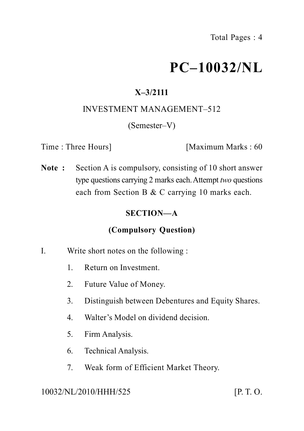# **PC–10032/NL**

# **X–3/2111**

#### INVESTMENT MANAGEMENT–512

#### (Semester–V)

Time : Three Hours] [Maximum Marks : 60

**Note :** Section A is compulsory, consisting of 10 short answer type questions carrying 2 marks each.Attempt *two* questions each from Section B & C carrying 10 marks each.

## **SECTION—A**

## **(Compulsory Question)**

- I. Write short notes on the following :
	- 1. Return on Investment.
	- 2. Future Value of Money.
	- 3. Distinguish between Debentures and Equity Shares.
	- 4. Walter's Model on dividend decision.
	- 5. Firm Analysis.
	- 6. Technical Analysis.
	- 7. Weak form of Efficient Market Theory.

10032/NL/2010/HHH/525 [P. T. O.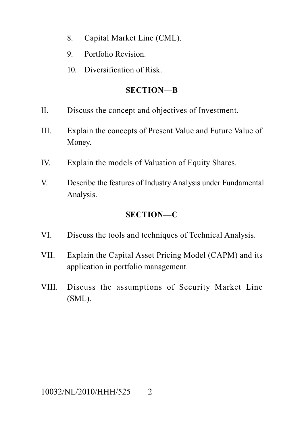- 8. Capital Market Line (CML).
- 9. Portfolio Revision.
- 10. Diversification of Risk.

#### **SECTION—B**

- II. Discuss the concept and objectives of Investment.
- III. Explain the concepts of Present Value and Future Value of Money.
- IV. Explain the models of Valuation of Equity Shares.
- V. Describe the features of Industry Analysis under Fundamental Analysis.

# **SECTION—C**

- VI. Discuss the tools and techniques of Technical Analysis.
- VII. Explain the Capital Asset Pricing Model (CAPM) and its application in portfolio management.
- VIII. Discuss the assumptions of Security Market Line (SML).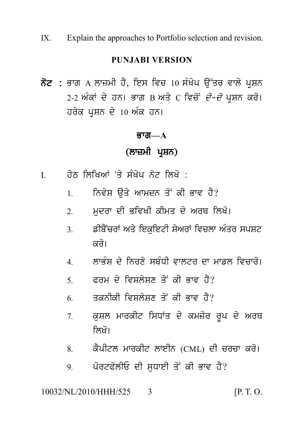IX. Explain the approaches to Portfolio selection and revision.

#### **PUNJABI VERSION**

IX. Explain the approaches to Portfolio selection and revision.<br>
PUNJABI VERSION<br>ਨੋਟ : ਭਾਗ A ਲਾਜ਼ਮੀ ਹੈ, ਇਸ ਵਿਚ 10 ਸੰਖੇਪ ਉੱਤਰ ਵਾਲੇ ਪ੍ਰਸ਼ਨ<br>2-2 ਅੰਕਾਂ ਦੇ ਹਨ। ਭਾਗ B ਅਤੇ C ਵਿਚੋਂ *ਦੋ–ਦੋ* ਪ੍ਰਸ਼ਨ ਕਰੋ।<br>ਹਰੇਕ ਪਸਨ ਦੇ 10 ਅੰਕ ਹਨ। PUNJABI VERSION<br>ਭਾਗ A ਲਾਜ਼ਮੀ ਹੈ, ਇਸ ਵਿਚ 10 ਸੰਖੇਪ ਉੱਤਰ ਵਾਲੇ ਪ੍ਰਸ਼ਨ<br>2-2 ਅੰਕਾਂ ਦੇ ਹਨ। ਭਾਗ B ਅਤੇ C ਵਿਚੋਂ<sup>:</sup> *ਦੋ–ਦੋ* ਪ੍ਰਸ਼ਨ ਕਰੋ।<br>ਹਰੇਕ ਪ੍ਰਸ਼ਨ ਦੇ 10 ਅੰਕ ਹਨ। **ਨੋਟ :** ਭਾਗ A ਲਾਜ਼ਮੀ ਹੈ, ਇਸ ਵਿਚ 10 ਸੰਖੇਪ ਉੱਤਰ ਵਾਲੇ ਪ੍ਰਸ਼ਨ<br>2-2 ਅੰਕਾਂ ਦੇ ਹਨ। ਭਾਗ B ਅਤੇ C ਵਿਚੋਂ *ਦੋ–ਦੋ* ਪ੍ਰਸ਼ਨ ਕਰੋ।<br>ਹਰੇਕ ਪਸ਼ਨ ਦੇ 10 ਅੰਕ ਹਨ। ) ਅੰਕ ਹਨ।<br>**ਭਾਗ—A<br>(ਲਾਜ਼ਮੀ ਪ੍ਰਸ਼ਨ)**<br>ਸੰਖੇਪ ਨੋਟ ਲਿਖੋ :

#### $\overline{g}$ ਯ $\overline{m}$  $\overline{a}$

- 
- ਤਾਗ—A<br>(ਨਾਜ਼ਮੀ ਪ੍ਰਸ਼ਨ)<br>I. ਹੇਠ ਲਿਖਿਆਂ 'ਤੇ ਸੰਖੇਪ ਨੋਟ ਲਿਖੋ :<br>1. ਨਿਵੇਸ਼ ਉਤੇ ਆਮਦਨ ਤੋਂ ਕੀ ਭਾਵ ਹੈ?
	- (ਲਾਜ਼ਮੀ ਪ੍ਰਸ਼ਨ)<br>ਹੇਠ ਲਿਖਿਆਂ 'ਤੇ ਸੰਖੇਪ ਨੋਟ ਲਿਖੋ :<br>1. ਨਿਵੇਸ਼ ਉਤੇ ਆਮਦਨ ਤੋਂ ਕੀ ਭਾਵ ਹੈ?<br>2. ਮੁਦਰਾ ਦੀ ਭਵਿਖੀ ਕੀਮਤ ਦੇ ਅਰਥ ਲਿਖੋ।
	- ਹੇਠ ਲਿਖਿਆਂ 'ਤੇ ਸੰਖੇਪ ਨੋਟ ਲਿਖੋ :<br>1. ਨਿਵੇਸ਼ ਉਤੇ ਆਮਦਨ ਤੋਂ ਕੀ ਭਾਵ ਹੈ?<br>2. ਮੁਦਰਾ ਦੀ ਭਵਿਖੀ ਕੀਮਤ ਦੇ ਅਰਥ ਲਿਖੋ।<br>3. ਡੀਬੈਂਚਰਾਂ ਅਤੇ ਇਕੁਇਟੀ ਸ਼ੇਅਰਾਂ ਵਿਚਲਾ ਅੰਤਰ ਸਪਸ਼ਟ 1. ਨਿਵੇਸ਼ ਉਤੇ ਆਮਦਨ ਤੋਂ ਕੀ ਭਾਵ ਹੈ?<br>2. ਮੁਦਰਾ ਦੀ ਭਵਿਖੀ ਕੀਮਤ ਦੇ ਅਰਥ ਲਿਖੋ।<br>3. ਡੀਬੈਂਚਰਾਂ ਅਤੇ ਇਕੁਇਟੀ ਸ਼ੇਅਰਾਂ ਵਿਚਲਾ ਅੰਤਰ ਸਪਸ਼ਟ<br>ਕਰੋ। ਮੁਦਰਾ ਦੀ ਭਵਿਖੀ ਕੀਮਤ ਦੇ ਅਰਥ ਲਿਖੋ।<br>ਡੀਬੈਂਚਰਾਂ ਅਤੇ ਇਕੁਇਟੀ ਸ਼ੇਅਰਾਂ ਵਿਚਲਾ ਅੰਤਰ ਸਪਸ਼ਟ<br>ਕਰੋ।<br>ਲਾਭੰਸ਼ ਦੇ ਨਿਰਣੇ ਸਬੰਧੀ ਵਾਲਟਰ ਦਾ ਮਾਡਲ ਵਿਚਾਰੋ।<br>ਫ਼ਰਮ ਦੇ ਵਿਸ਼ਲੇਸ਼ਣ ਤੋਂ ਕੀ ਕਾਵ ਹੈ? 3. ਡੀਬੈਂਚਰਾਂ ਅਤੇ ਇਕੁਇਟੀ ਸ਼ੇਅਰਾਂ ਵਿਚਲਾ ਅੰਤਰ ਸਪਸ਼ਟ<br>ਕਰੋ।<br>4. ਲਾਭੰਸ਼ ਦੇ ਨਿਰਣੇ ਸਬੰਧੀ ਵਾਲਟਰ ਦਾ ਮਾਡਲ ਵਿਚਾਰੋ।<br>5. ਫਰਮ ਦੇ ਵਿਸ਼ਲੇਸ਼ਣ ਤੋਂ ਕੀ ਭਾਵ ਹੈ? ਕਰੋ।<br>4. ਲਾਭੰਸ਼ ਦੇ ਨਿਰਣੇ ਸਬੰਧੀ ਵਾਲਟਰ ਦਾ ਮਾਡਲ ਵਿਚਾਰੋ।<br>5. ਫਰਮ ਦੇ ਵਿਸ਼ਲੇਸ਼ਣ ਤੋਂ ਕੀ ਭਾਵ ਹੈ?<br>6. ਤਕਨੀਕੀ ਵਿਸ਼ਲੇਸ਼ਣ ਤੋਂ ਕੀ ਭਾਵ ਹੈ?
	-
	-
	-
	- 4. ਲਾਭੰਸ਼ ਦੇ ਨਿਰਣੇ ਸਬੰਧੀ ਵਾਲਟਰ ਦਾ ਮਾਡਲ ਵਿਚਾਰੋ।<br>5. ਫਰਮ ਦੇ ਵਿਸ਼ਲੇਸ਼ਣ ਤੋਂ ਕੀ ਭਾਵ ਹੈ?<br>6. ਤਕਨੀਕੀ ਵਿਸ਼ਲੇਸ਼ਣ ਤੋਂ ਕੀ ਭਾਵ ਹੈ?<br>7. ਕੁਸ਼ਲ ਮਾਰਕੀਟ ਸਿਧਾਂਤ ਦੇ ਕਮਜ਼ੋਰ ਰੂਪ ਦੇ ਅਰਥ 5. ਫਰਮ ਦੇ ਵਿਸ਼ਲੇਸ਼ਣ ਤੋਂ ਕੀ ਭਾਵ ਹੈ?<br>6. ਤਕਨੀਕੀ ਵਿਸ਼ਲੇਸ਼ਣ ਤੋਂ ਕੀ ਭਾਵ ਹੈ?<br>7. ਕੁਸ਼ਲ ਮਾਰਕੀਟ ਸਿਧਾਂਤ ਦੇ ਕਮਜ਼ੋਰ ਰੂਪ ਦੇ ਅਰਥ<br>ਲਿਖੋ। ਤਕਨੀਕੀ ਵਿਸ਼ਲੇਸ਼ਣ ਤੋਂ ਕੀ ਭਾਵ ਹੈ?<br>ਕੁਸ਼ਲ ਮਾਰਕੀਟ ਸਿਧਾਂਤ ਦੇ ਕਮਜ਼ੋਰ ਰੂਪ ਦੇ ਅਰਥ<br>ਲਿਖੋ।<br>ਕੈਪੀਟਲ ਮਾਰਕੀਟ ਲਾਈਨ (CML) ਦੀ ਚਰਚਾ ਕਰੋ।<br>ਪੋਰਟਫੋਲੀਓ ਦੀ ਸਧਾਈ ਤੋਂ ਕੀ ਭਾਵ ਹੈ? 7. ਕੁਸ਼ਲ ਮਾਰਕੀਟ ਸਿਧਾਂਤ ਦੇ ਕਮਜ਼ੋਰ ਰੂਪ ਦੇ ਅਰਥ<br>ਲਿਖੋ।<br>8. ਕੈਪੀਟਲ ਮਾਰਕੀਟ ਲਾਈਨ (CML) ਦੀ ਚਰਚਾ ਕਰੋ।<br>9. ਪੋਰਟਫੋਲੀਓ ਦੀ ਸੁਧਾਈ ਤੋਂ ਕੀ ਭਾਵ ਹੈ? ਲਿਖੋ।<br>8. ਕੈਪੀਟਲ ਮਾਰਕੀਟ ਲਾਈਨ (CML) ਦੀ ਚਰਚਾ ਕਰੋ।<br>9. ਪੋਰਟਫੋਲੀਓ ਦੀ ਸੁਧਾਈ ਤੋਂ ਕੀ ਭਾਵ ਹੈ?<br>NL/2010/HHH/525 3 [P.T.O.
	-
	-

#### 10032/NL/2010/HHH/525 3 [P. T. O.